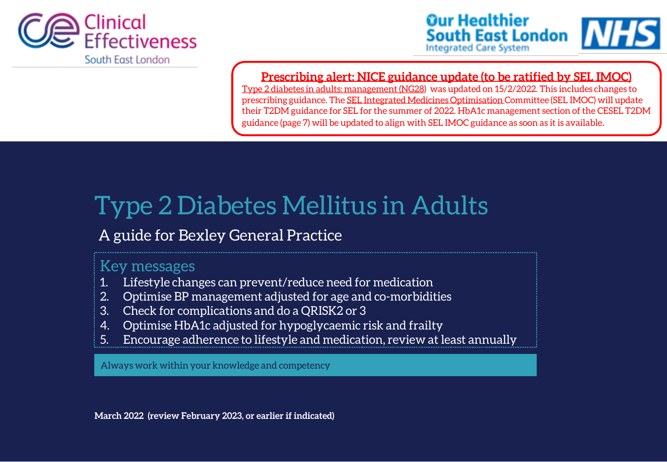



### **[Prescribing alert: NICE guidance update \(to be ratified by SEL IMOC\)](https://www.nice.org.uk/guidance/ng28)**

[Type 2 diabetes in adults: management \(NG28](https://www.nice.org.uk/guidance/ng28)) was updated on 15/2/2022. This includes changes to prescribing guidance. The [SEL Integrated Medicines Optimisation](https://selondonccg.nhs.uk/what-we-do/medicines-optimisation/south-east-london-integrated-medicines-optimisation-committee-sel-imoc/) Committee (SEL IMOC) will update their T2DM guidance for SEL for the summer of 2022. HbA1c management section of the CESEL T2DM guidance (page 7) will be updated to align with SEL IMOC guidance as soon as it is available.

# Type 2 Diabetes Mellitus in Adults

## A guide for Bexley General Practice

### Key messages

- 1. Lifestyle changes can prevent/reduce need for medication
- 2. Optimise BP management adjusted for age and co-morbidities
- 3. Check for complications and do a QRISK2 or 3
- 4. Optimise HbA1c adjusted for hypoglycaemic risk and frailty
- 5. Encourage adherence to lifestyle and medication, review at least annually

Always work within your knowledge and competency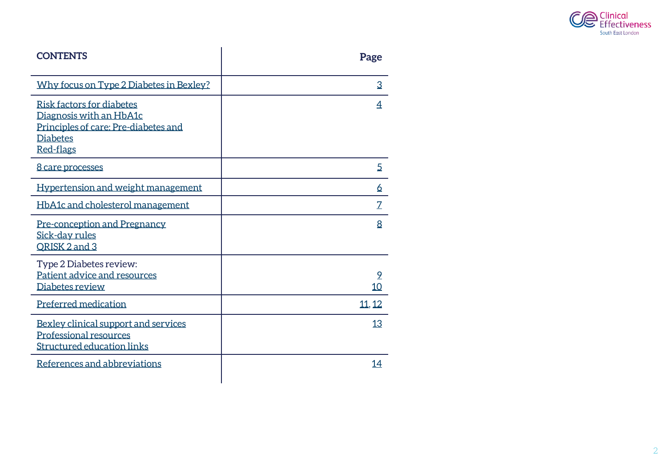

| <b>CONTENTS</b>                                                                                                                            | Page                 |
|--------------------------------------------------------------------------------------------------------------------------------------------|----------------------|
| Why focus on Type 2 Diabetes in Bexley?                                                                                                    | 3                    |
| <b>Risk factors for diabetes</b><br>Diagnosis with an HbA1c<br>Principles of care: Pre-diabetes and<br><b>Diabetes</b><br><b>Red-flags</b> | 4                    |
| <u>8 care processes</u>                                                                                                                    | 5                    |
| Hypertension and weight management                                                                                                         | 6                    |
| HbA1c and cholesterol management                                                                                                           | $\overline{Z}$       |
| Pre-conception and Pregnancy<br>Sick-day rules<br>ORISK 2 and 3                                                                            | 8                    |
| Type 2 Diabetes review:<br>Patient advice and resources<br>Diabetes review                                                                 | $\overline{2}$<br>10 |
| Preferred medication                                                                                                                       | 11, 12               |
| Bexley clinical support and services<br><b>Professional resources</b><br><b>Structured education links</b>                                 | 13                   |
| References and abbreviations                                                                                                               | 14                   |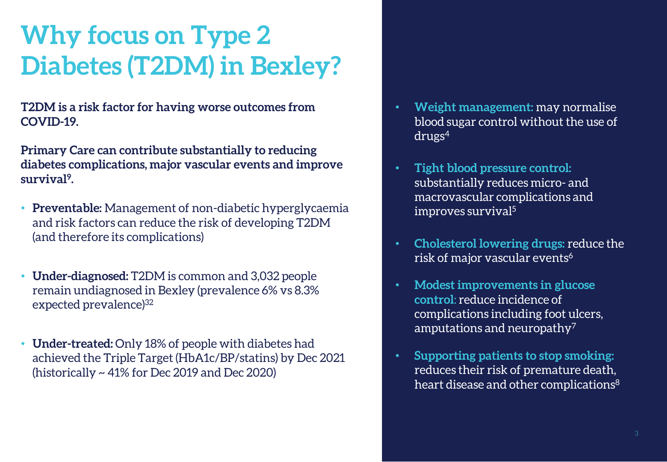# <span id="page-2-0"></span>**Why focus on Type 2 Diabetes (T2DM) in Bexley?**

**T2DM is a risk factor for having worse outcomes from COVID-19.**

**Primary Care can contribute substantially to reducing diabetes complications, major vascular events and improve survival<sup>9</sup> .**

- **Preventable:** Management of non-diabetic hyperglycaemia and risk factors can reduce the risk of developing T2DM (and therefore its complications)
- **Under-diagnosed:** T2DM is common and 3,032 people remain undiagnosed in Bexley (prevalence 6% vs 8.3% expected prevalence)<sup>32</sup>
- **Under-treated:** Only 18% of people with diabetes had achieved the Triple Target (HbA1c/BP/statins) by Dec 2021 (historically ~ 41% for Dec 2019 and Dec 2020)
- **Weight management:** may normalise blood sugar control without the use of drugs<sup>4</sup>
- **Tight blood pressure control:**  substantially reduces micro- and macrovascular complications and improves survival<sup>5</sup>
- **Cholesterol lowering drugs:** reduce the risk of major vascular events<sup>6</sup>
- **Modest improvements in glucose control**: reduce incidence of complications including foot ulcers, amputations and neuropathy<sup>7</sup>
- **Supporting patients to stop smoking:**  reduces their risk of premature death, heart disease and other complications<sup>8</sup>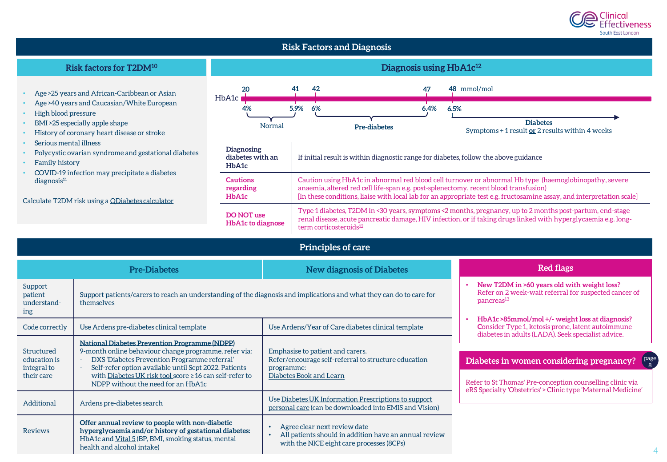

#### <span id="page-3-0"></span>• Age >25 years and African-Caribbean or Asian • Age >40 years and Caucasian/White European • High blood pressure • BMI >25 especially apple shape • History of coronary heart disease or stroke • Serious mental illness • Polycystic ovarian syndrome and gestational diabetes Family history • COVID-19 infection may precipitate a diabetes diagnosis<sup>11</sup> Calculate T2DM risk using a [QDiabetes](https://qdiabetes.org/) calculator **Diagnosis using HbA1c<sup>12</sup> 20 41 42 47 48** H<sub>b</sub>A<sub>1c</sub> **4% 5.9% 6% 6.4% 6.5%** 48 mmol/mol Normal **Pre-diabetes Diabetes** Symptoms + 1 result **or** 2 results within 4 weeks **Risk factors for T2DM<sup>10</sup> Risk Factors and Diagnosis Diagnosing diabetes with an HbA1c** If initial result is within diagnostic range for diabetes, follow the above guidance **Cautions regarding HbA1c** Caution using HbA1c in abnormal red blood cell turnover or abnormal Hb type (haemoglobinopathy, severe anaemia, altered red cell life-span e.g. post-splenectomy, recent blood transfusion) [In these conditions, liaise with local lab for an appropriate test e.g. fructosamine assay, and interpretation scale] **DO NOT use HbA1c to diagnose** Type 1 diabetes, T2DM in <30 years, symptoms <2 months, pregnancy, up to 2 months post-partum, end-stage renal disease, acute pancreatic damage, HIV infection, or if taking drugs linked with hyperglycaemia e.g. longterm corticosteroids<sup>12</sup> **Principles of care** • **New T2DM in >60 years old with weight loss?**  Refer on 2 week-wait referral for suspected cancer of pancreas<sup>13</sup> • **HbA1c >85mmol/mol +/- weight loss at diagnosis? C**onsider Type 1, ketosis prone, latent autoimmune diabetes in adults (LADA). Seek specialist advice. **Pre-Diabetes New diagnosis of Diabetes** Support patient understanding Support patients/carers to reach an understanding of the diagnosis and implications and what they can do to care for themselves Code correctly Use Ardens pre-diabetes clinical template Use Ardens/Year of Care diabetes clinical template Structured education is integral to their care **[National Diabetes Prevention Programme \(NDPP\)](https://preventing-diabetes.co.uk/referrers/south-london/)**  9-month online behaviour change programme, refer via: - DXS 'Diabetes Prevention Programme referral' - Self-refer option available until Sept 2022. Patients with [Diabetes UK risk tool](https://riskscore.diabetes.org.uk/start) score ≥ 16 can self-refer to NDPP without the need for an HbA1c Emphasise to patient and carers. Refer/encourage self-referral to structure education programme: [Diabetes Book and Learn](https://diabetesbooking.co.uk/) Additional Ardens pre-diabetes search Use Diabetes UK Information Prescriptions to support personal care (can be downloaded into EMIS and Vision) Reviews **Offer annual review to people with non-diabetic hyperglycaemia and/or history of gestational diabetes:**  HbA1c and [Vital 5](https://www.kingshealthpartners.org/our-work/value/vital-5) (BP, BMI, smoking status, mental • Agree clear next review date • All patients should in addition have an annual review with the NICE eight care processes (8CPs) **Red flags** Refer to St Thomas' Pre-conception counselling clinic via eRS Specialty 'Obstetrics' > Clinic type 'Maternal Medicine' **Diabetes in women considering pregnancy?** page

health and alcohol intake)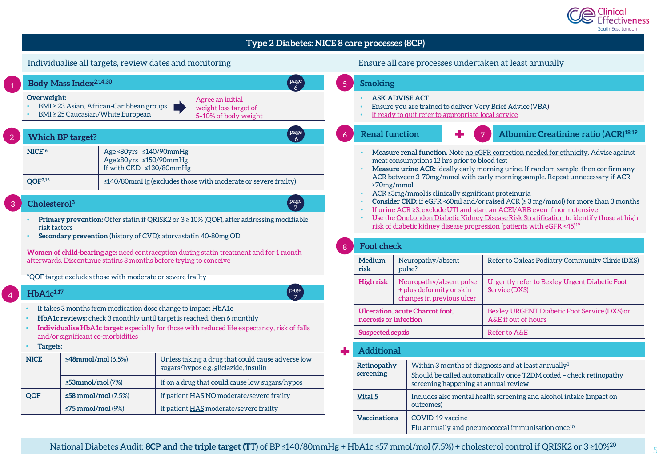

#### **Type 2 Diabetes: NICE 8 care processes (8CP)**

<span id="page-4-0"></span>

[National Diabetes Audit](https://digital.nhs.uk/data-and-information/clinical-audits-and-registries/national-diabetes-audit/core): **8CP and the triple target (TT)** of BP ≤140/80mmHg + HbA1c ≤57 mmol/mol (7.5%) + cholesterol control if QRISK2 or 3 ≥10%<sup>20</sup>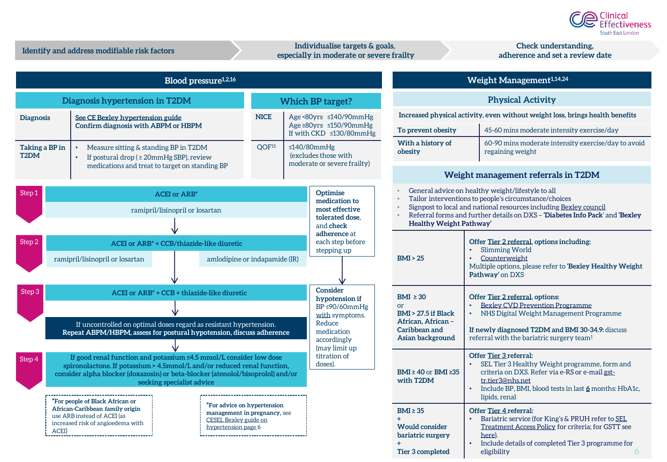

eligibility 6

<span id="page-5-0"></span>**Physical Activity Increased physical activity, even without weight loss, brings health benefits To prevent obesity** 45-60 mins moderate intensity exercise/day **With a history of obesity** 60-90 mins moderate intensity exercise/day to avoid regaining weight **Identify and address modifiable risk factors Check understanding, Check understanding, Check understanding, Check understanding adherence and set a review date Individualise targets & goals, especially in moderate or severe frailty Weight management referrals in T2DM** • General advice on healthy weight/lifestyle to all • Tailor interventions to people's circumstance/choices • Signpost to local and national resources including [Bexley council](https://www.bexley.gov.uk/services/health-and-social-care/health-and-wellbeing/get-help-managing-your-weight) • Referral forms and further details on DXS – **'Diabetes Info Pack**' and **'Bexley Healthy Weight Pathway' BMI > 25 Offer Tier 2 referral, options including:** • Slimming World **[Counterweight](https://swipe.counterweight.org/bexley-referral)** Multiple options, please refer to **'Bexley Healthy Weight**  Pathway' on DXS **BMI ≥ 30** or **BMI > 27.5 if Black African, African – Caribbean and Asian background Offer Tier 2 referral, options:** • [Bexley CVD Prevention Programme](https://momentanewcastle.com/bexleycpp) • NHS Digital Weight Management Programme **If newly diagnosed T2DM and BMI 30-34.9:** discuss referral with the bariatric surgery team<sup>1</sup> **BMI ≥ 40** or **BMI ≥35 with T2DM Offer Tier 3 referral:** • SEL Tier 3 Healthy Weight programme, form and [criteria on DXS. Refer via e-RS or e-mail gst](mailto:gst-tr.tier3@nhs.net)tr.tier3@nhs.net • Include BP, BMI, blood tests in last **6** months: HbA1c, lipids, renal **BMI ≥ 35 + Would consider bariatric surgery + Offer Tier 4 referral:** [Bariatric service \(for King's & PRUH](https://selondonccg.nhs.uk/wp-content/uploads/2020/06/SEL-Treatment-Access-Policy-2019-FINAL-fert-amendment.pdf) refer to SEL Treatment Access Policy for criteria; for GSTT see [here\)](https://www.guysandstthomas.nhs.uk/our-services/obesity-centre/referrals.aspx#na). • Include details of completed Tier 3 programme for **Weight Management1,14,24 Blood pressure1,2,16 Diagnosis [See CE Bexley hypertension guide](https://selondonccg.nhs.uk/wp-content/uploads/2021/11/BEXLEY-CESEL-HYPERTENSION-FINAL-19Nov.pdf) Confirm diagnosis with ABPM or HBPM Taking a BP in T2DM** • Measure sitting & standing BP in T2DM • If postural drop ( ≥ 20mmHg SBP), review medications and treat to target on standing BP **Diagnosis hypertension in T2DM Which BP target?** NICE Age <80yrs ≤140/90mmHg Age ≥80yrs ≤150/90mmHg If with CKD ≤130/80mmHg  $QOF<sup>15</sup>$  ≤140/80mmHg (excludes those with moderate or severe frailty) **Step 1 ACEI or ARB\*** ramipril/lisinopril or losartan **Step 2 ACEI or ARB<sup>\*</sup> + CCB/thiazide-like diuretic** ramipril/lisinopril or losartan amlodipine or indapamide (IR) **Step 3 ACEI or ARB<sup>\*</sup> + CCB + thiazide-like diuretic** Step 4 **If good renal function and potassium ≤4.5 mmol/L consider low dose spironolactone. If potassium > 4.5mmol/L and/or reduced renal function, consider alpha blocker (doxazosin) or beta-blocker (atenolol/bisoprolol) and/or seeking specialist advice \*For people of Black African or African-Caribbean family origin** use ARB instead of ACEI (as increased risk of angioedema with ACEI) If uncontrolled on optimal doses regard as resistant hypertension. **Repeat ABPM/HBPM, assess for postural hypotension, discuss adherence Consider hypotension if**  BP ≤90/60mmHg with symptoms. Reduce medication accordingly (may limit up titration of doses). **Optimise medication to most effective tolerated dose**, and **check adherence** at each step before stepping up **\*For advice on hypertension management in pregnancy,** see CESEL Bexley guide on [hypertension page 6](https://selondonccg.nhs.uk/covid_19/clinical-effectiveness-sel/)

**Tier 3 completed**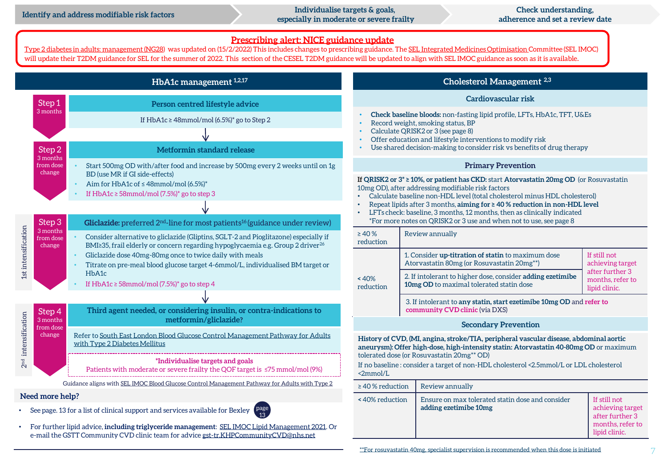1st intensification

1st intensification

2nd intensification

intensification

 $2<sup>nd</sup>$ 

## **adherence and set a review date**

#### <span id="page-6-0"></span>**Gliclazide:** preferred 2<sup>nd</sup>-line for most patients<sup>16</sup>(guidance under review) **Person centred lifestyle advice Third agent needed, or considering insulin, or contra-indications to metformin/gliclazide? HbA1c management 1,2,17** Step 2 3 months from dose change Step 1 3 months Step 3 3 months from dose change Step 4 3 months from dose change [Refer to South East London Blood Glucose Control Management Pathway for Adults](https://selondonccg.nhs.uk/download/11604/)  with Type 2 Diabetes Mellitus Guidance aligns with [SEL IMOC Blood Glucose Control Management Pathway for Adults with Type 2](https://selondonccg.nhs.uk/download/11604/)  If  $HbA1c \geq 48$ mmol/mol (6.5%)\* go to Step 2 **Metformin standard release** • Start 500mg OD with/after food and increase by 500mg every 2 weeks until on 1g BD (use MR if GI side-effects) Aim for HbA1c of  $\leq$  48mmol/mol (6.5%)\* If  $HbA1c \geq 58$ mmol/mol (7.5%)\* go to step 3 • Consider alternative to gliclazide (Gliptins, SGLT-2 and Pioglitazone) especially if BMI≥35, frail elderly or concern regarding hypoglycaemia e.g. Group 2 driver<sup>26</sup> • Gliclazide dose 40mg-80mg once to twice daily with meals • Titrate on pre-meal blood glucose target 4-6mmol/L, individualised BM target or HbA1c If HbA1c  $\geq$  58mmol/mol (7.5%)\* go to step 4 **\*Individualise targets and goals** Patients with moderate or severe frailty the QOF target is ≤75 mmol/mol (9%) **Cholesterol Management 2,3** • **Check baseline bloods:** non-fasting lipid profile, LFTs, HbA1c, TFT, U&Es • Record weight, smoking status, BP • Calculate QRISK2 or 3 (see page 8) • Offer education and lifestyle interventions to modify risk Use shared decision-making to consider risk vs benefits of drug therapy **Primary Prevention If QRISK2 or 3\* ≥ 10%, or patient has CKD:** start **Atorvastatin 20mg OD** (or Rosuvastatin 10mg OD), after addressing modifiable risk factors • Calculate baseline non-HDL level (total cholesterol minus HDL cholesterol) • Repeat lipids after 3 months, **aiming for ≥ 40 % reduction in non-HDL level** LFTs check: baseline, 3 months, 12 months, then as clinically indicated \*For more notes on QRISK2 or 3 use and when not to use, see page 8  $\geq 40 \%$ reduction Review annually  $< 40%$ reduction 1. Consider **up-titration of statin** to maximum dose Atorvastatin 80mg (or Rosuvastatin 20mg\*\*) If still not achieving target after further 3 months, refer to lipid clinic. 2. If intolerant to higher dose, consider **adding ezetimibe 10mg OD** to maximal tolerated statin dose 3. If intolerant to **any statin, start ezetimibe 10mg OD** and **refer to community CVD clinic** (via DXS) **Secondary Prevention History of CVD, (MI, angina, stroke/TIA, peripheral vascular disease, abdominal aortic aneurysm): Offer high-dose, high-intensity statin: Atorvastatin 40-80mg OD** or maximum tolerated dose (or Rosuvastatin 20mg\*\* OD) If no baseline : consider a target of non-HDL cholesterol <2.5mmol/L or LDL cholesterol <2mmol/L  $\geq$  40 % reduction Review annually **<** 40% reduction Ensure on max tolerated statin dose and consider **adding ezetimibe 10mg** If still not achieving target after further 3 months, refer to lipid clinic. **Need more help?** • See page. 13 for a list of clinical support and services available for Bexley • For further lipid advice, **including triglyceride management**: [SEL IMOC Lipid Management 2021](https://selondonccg.nhs.uk/download/16002/). Or e-mail the GSTT Community CVD clinic team for advice [gst-tr.KHPCommunityCVD@nhs.net](mailto:gst-tr.KHPCommunityCVD@nhs.net) **Cardiovascular risk [Prescribing alert: NICE guidance update](https://www.nice.org.uk/guidance/ng28)** [Type 2 diabetes in adults: management \(NG28](https://www.nice.org.uk/guidance/ng28)) was updated on (15/2/2022) This includes changes to prescribing guidance. The [SEL Integrated Medicines Optimisation](https://selondonccg.nhs.uk/what-we-do/medicines-optimisation/south-east-london-integrated-medicines-optimisation-committee-sel-imoc/) Committee (SEL IMOC) will update their T2DM guidance for SEL for the summer of 2022. This section of the CESEL T2DM guidance will be updated to align with SEL IMOC guidance as soon as it is available. page 13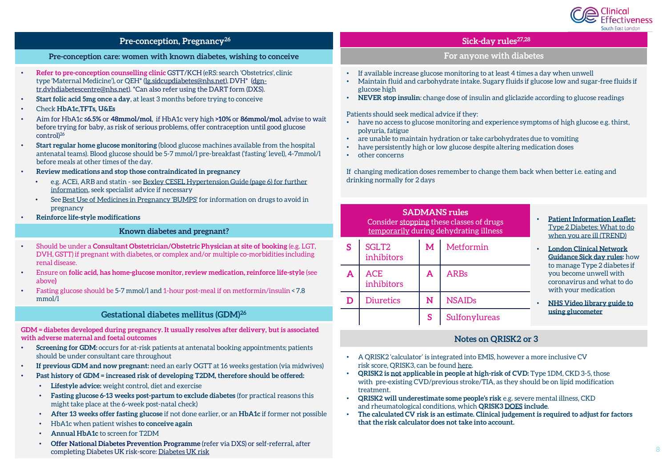

### **Pre-conception, Pregnancy<sup>26</sup> Sick-day rules27,28**

<span id="page-7-0"></span>**Pre-conception care: women with known diabetes, wishing to conceive**

- **Refer to pre-conception counselling clinic** GSTT/KCH (eRS: search 'Obstetrics', clinic type 'Maternal Medicine'), or QEH\* ([lg.sidcupdiabetes@nhs.net\)](mailto:lg.sidcupdiabetes@nhs.net), DVH\* (dgn[tr.dvhdiabetescentre@nhs.net\). \\*Can also refer using the DART form \(DXS\).](mailto:dgn-tr.dvhdiabetescentre@nhs.net)
- **Start folic acid 5mg once a day**, at least 3 months before trying to conceive
- Check **HbA1c,TFTs, U&Es**
- Aim for HbA1c **≤6.5%** or **48mmol/mol**, if HbA1c very high **>10%** or **86mmol/mol**, advise to wait before trying for baby, as risk of serious problems, offer contraception until good glucose control)<sup>26</sup>
- **Start regular home glucose monitoring** (blood glucose machines available from the hospital antenatal teams). Blood glucose should be 5-7 mmol/l pre-breakfast ('fasting' level), 4-7mmol/l before meals at other times of the day.
- **Review medications and stop those contraindicated in pregnancy**
	- e.g. ACEi, ARB and statin see [Bexley CESEL Hypertension Guide \(page 6\) for further](https://selondonccg.nhs.uk/covid_19/clinical-effectiveness-sel/)  information, seek specialist advice if necessary
	- See [Best Use of Medicines in Pregnancy 'BUMPS'](https://www.medicinesinpregnancy.org/Medicine--pregnancy/) for information on drugs to avoid in pregnancy
- **Reinforce life-style modifications**

#### **Known diabetes and pregnant?**

- Should be under a **Consultant Obstetrician/Obstetric Physician at site of booking** (e.g. LGT, DVH, GSTT) if pregnant with diabetes, or complex and/or multiple co-morbidities including renal disease.
- Ensure on **folic acid, has home-glucose monitor, review medication, reinforce life-style** (see above**)**
- Fasting glucose should be 5-7 mmol/l and 1-hour post-meal if on metformin/insulin < 7.8 mmol/l

#### **Gestational diabetes mellitus (GDM)<sup>26</sup>**

**GDM = diabetes developed during pregnancy. It usually resolves after delivery, but is associated with adverse maternal and foetal outcomes**

- **Screening for GDM:** occurs for at-risk patients at antenatal booking appointments; patients should be under consultant care throughout
- **If previous GDM and now pregnant:** need an early OGTT at 16 weeks gestation (via midwives)
- **Past history of GDM = increased risk of developing T2DM, therefore should be offered:**
	- **Lifestyle advice:** weight control, diet and exercise
	- **Fasting glucose 6-13 weeks post-partum to exclude diabetes** (for practical reasons this might take place at the 6-week post-natal check)
	- **After 13 weeks offer fasting glucose** if not done earlier, or an **HbA1c** if former not possible
	- HbA1c when patient wishes **to conceive again**
	- **Annual HbA1c** to screen for T2DM
	- **Offer National Diabetes Prevention Programme** (refer via DXS) or self-referral, after completing Diabetes UK risk-score: [Diabetes UK risk](https://riskscore.diabetes.org.uk/start)

#### **For anyone with diabetes**

- If available increase glucose monitoring to at least 4 times a day when unwell
- Maintain fluid and carbohydrate intake. Sugary fluids if glucose low and sugar-free fluids if glucose high
- **NEVER stop insulin**: change dose of insulin and gliclazide according to glucose readings

#### Patients should seek medical advice if they:

- have no access to glucose monitoring and experience symptoms of high glucose e.g. thirst, polyuria, fatigue
- are unable to maintain hydration or take carbohydrates due to vomiting
- have persistently high or low glucose despite altering medication doses
- other concerns

If changing medication doses remember to change them back when better i.e. eating and drinking normally for 2 days

|   | <b>SADMANS</b> rules<br>Consider stopping these classes of drugs<br>temporarily during dehydrating illness | <b>Patient Information Leaflet:</b><br>Type 2 Diabetes: What to do<br>when you are ill (TREND) |               |                                                                                                       |
|---|------------------------------------------------------------------------------------------------------------|------------------------------------------------------------------------------------------------|---------------|-------------------------------------------------------------------------------------------------------|
| S | SGLT2<br>inhibitors                                                                                        | М                                                                                              | Metformin     | <b>London Clinical Network</b><br><b>Guidance Sick day rules:</b> how<br>to manage Type 2 diabetes if |
| A | ACE.<br>inhibitors                                                                                         | A                                                                                              | <b>ARRs</b>   | you become unwell with<br>coronavirus and what to do<br>with your medication                          |
| D | <b>Diuretics</b>                                                                                           | N                                                                                              | <b>NSAIDs</b> | NHS Video library guide to<br>$\bullet$                                                               |
|   |                                                                                                            | S                                                                                              | Sulfonylureas | using glucometer                                                                                      |

#### **Notes on QRISK2 or 3**

- A QRISK2 'calculator' is integrated into EMIS, however a more inclusive CV risk score, QRISK3, can be found [here.](https://www.qrisk.org/three/)
- **QRISK2 is not applicable in people at high-risk of CVD:** Type 1DM, CKD 3-5, those with pre-existing CVD/previous stroke/TIA, as they should be on lipid modification treatment.
- **QRISK2 will underestimate some people's risk** e.g. severe mental illness, CKD and rheumatological conditions, which **QRISK3 DOES include**.
- **The calculated CV risk is an estimate. Clinical judgement is required to adjust for factors that the risk calculator does not take into account.**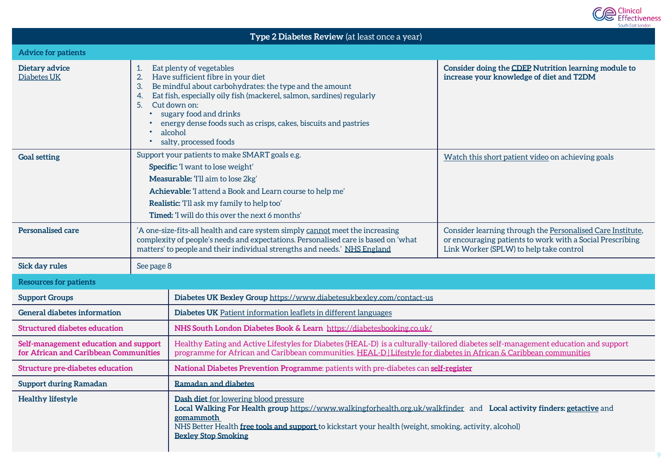

<span id="page-8-0"></span>

| Type 2 Diabetes Review (at least once a year)                                  |                                        |                                                                                                                                                                                                                                                                                                                                                      |                                                                                                                                                                    |  |  |  |
|--------------------------------------------------------------------------------|----------------------------------------|------------------------------------------------------------------------------------------------------------------------------------------------------------------------------------------------------------------------------------------------------------------------------------------------------------------------------------------------------|--------------------------------------------------------------------------------------------------------------------------------------------------------------------|--|--|--|
| <b>Advice for patients</b>                                                     |                                        |                                                                                                                                                                                                                                                                                                                                                      |                                                                                                                                                                    |  |  |  |
| Dietary advice<br>Diabetes UK                                                  | 1.<br>2.<br>3.<br>4.<br>5 <sub>1</sub> | Eat plenty of vegetables<br>Have sufficient fibre in your diet<br>Be mindful about carbohydrates: the type and the amount<br>Eat fish, especially oily fish (mackerel, salmon, sardines) regularly<br>Cut down on:<br>sugary food and drinks<br>energy dense foods such as crisps, cakes, biscuits and pastries<br>alcohol<br>salty, processed foods | Consider doing the CDEP Nutrition learning module to<br>increase your knowledge of diet and T2DM                                                                   |  |  |  |
| <b>Goal setting</b>                                                            |                                        | Support your patients to make SMART goals e.g.<br>Specific: 'I want to lose weight'<br>Measurable: 'I'll aim to lose 2kg'<br>Achievable: 'I attend a Book and Learn course to help me'<br>Realistic: Tll ask my family to help too'<br>Timed: 'I will do this over the next 6 months'                                                                | Watch this short patient video on achieving goals                                                                                                                  |  |  |  |
| <b>Personalised care</b>                                                       |                                        | 'A one-size-fits-all health and care system simply cannot meet the increasing<br>complexity of people's needs and expectations. Personalised care is based on 'what<br>matters' to people and their individual strengths and needs.' NHS England                                                                                                     | Consider learning through the Personalised Care Institute,<br>or encouraging patients to work with a Social Prescribing<br>Link Worker (SPLW) to help take control |  |  |  |
| Sick day rules                                                                 | See page 8                             |                                                                                                                                                                                                                                                                                                                                                      |                                                                                                                                                                    |  |  |  |
| <b>Resources for patients</b>                                                  |                                        |                                                                                                                                                                                                                                                                                                                                                      |                                                                                                                                                                    |  |  |  |
| <b>Support Groups</b>                                                          |                                        | Diabetes UK Bexley Group https://www.diabetesukbexley.com/contact-us                                                                                                                                                                                                                                                                                 |                                                                                                                                                                    |  |  |  |
| <b>General diabetes information</b>                                            |                                        | Diabetes UK Patient information leaflets in different languages                                                                                                                                                                                                                                                                                      |                                                                                                                                                                    |  |  |  |
| <b>Structured diabetes education</b>                                           |                                        | NHS South London Diabetes Book & Learn https://diabetesbooking.co.uk/                                                                                                                                                                                                                                                                                |                                                                                                                                                                    |  |  |  |
| Self-management education and support<br>for African and Caribbean Communities |                                        | Healthy Eating and Active Lifestyles for Diabetes (HEAL-D) is a culturally-tailored diabetes self-management education and support<br>programme for African and Caribbean communities. HEAL-D Lifestyle for diabetes in African & Caribbean communities                                                                                              |                                                                                                                                                                    |  |  |  |
| <b>Structure pre-diabetes education</b>                                        |                                        | National Diabetes Prevention Programme: patients with pre-diabetes can self-register                                                                                                                                                                                                                                                                 |                                                                                                                                                                    |  |  |  |
| <b>Support during Ramadan</b>                                                  |                                        | Ramadan and diabetes                                                                                                                                                                                                                                                                                                                                 |                                                                                                                                                                    |  |  |  |
| <b>Healthy lifestyle</b>                                                       |                                        | <b>Dash diet for lowering blood pressure</b><br>Local Walking For Health group https://www.walkingforhealth.org.uk/walkfinder and Local activity finders: getactive and<br>gomammoth<br>NHS Better Health free tools and support to kickstart your health (weight, smoking, activity, alcohol)<br><b>Bexley Stop Smoking</b>                         |                                                                                                                                                                    |  |  |  |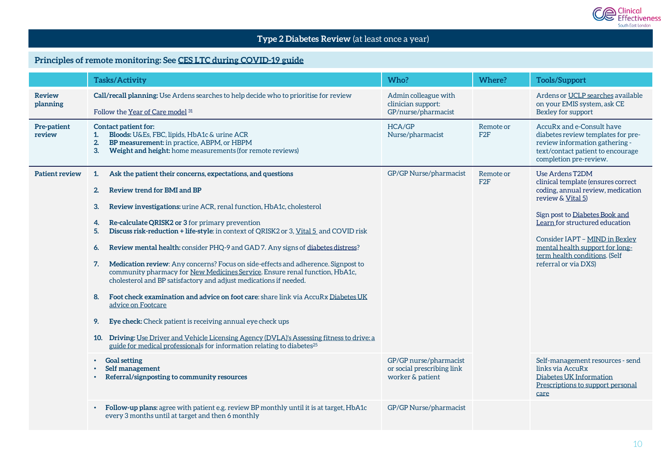

### **Type 2 Diabetes Review** (at least once a year)

### <span id="page-9-0"></span>**Principles of remote monitoring: See [CES LTC during COVID-19 guide](http://www.clinicaleffectivenesssouthwark.co.uk/wp-content/uploads/2020/11/LTC-management-during-COVID-19-and-beyond.-Version-1.8.pdf)**

|                           | <b>Tasks/Activity</b>                                                                                                                                                                                                                                                                                                                                                                                                                                                                                                                                                                                                                                                                                                                                                                                                                                                                                                                                                                                                                                                  | Who?                                                                     | Where?           | <b>Tools/Support</b>                                                                                                                                                                                                                                                                                              |
|---------------------------|------------------------------------------------------------------------------------------------------------------------------------------------------------------------------------------------------------------------------------------------------------------------------------------------------------------------------------------------------------------------------------------------------------------------------------------------------------------------------------------------------------------------------------------------------------------------------------------------------------------------------------------------------------------------------------------------------------------------------------------------------------------------------------------------------------------------------------------------------------------------------------------------------------------------------------------------------------------------------------------------------------------------------------------------------------------------|--------------------------------------------------------------------------|------------------|-------------------------------------------------------------------------------------------------------------------------------------------------------------------------------------------------------------------------------------------------------------------------------------------------------------------|
| <b>Review</b><br>planning | Call/recall planning: Use Ardens searches to help decide who to prioritise for review<br>Follow the Year of Care model 31                                                                                                                                                                                                                                                                                                                                                                                                                                                                                                                                                                                                                                                                                                                                                                                                                                                                                                                                              | Admin colleague with<br>clinician support:<br>GP/nurse/pharmacist        |                  | Ardens or UCLP searches available<br>on your EMIS system, ask CE<br>Bexley for support                                                                                                                                                                                                                            |
| Pre-patient<br>review     | <b>Contact patient for:</b><br>Bloods: U&Es, FBC, lipids, HbA1c & urine ACR<br>1.<br>BP measurement: in practice, ABPM, or HBPM<br>2.<br>Weight and height: home measurements (for remote reviews)<br>3.                                                                                                                                                                                                                                                                                                                                                                                                                                                                                                                                                                                                                                                                                                                                                                                                                                                               | <b>HCA/GP</b><br>Nurse/pharmacist                                        | Remote or<br>F2F | AccuRx and e-Consult have<br>diabetes review templates for pre-<br>review information gathering -<br>text/contact patient to encourage<br>completion pre-review.                                                                                                                                                  |
| <b>Patient review</b>     | Ask the patient their concerns, expectations, and questions<br>1.<br>Review trend for BMI and BP<br>2.<br>Review investigations: urine ACR, renal function, HbA1c, cholesterol<br>3.<br>Re-calculate QRISK2 or 3 for primary prevention<br>4.<br>Discuss risk-reduction + life-style: in context of QRISK2 or 3, Vital 5 and COVID risk<br>5.<br>Review mental health: consider PHQ-9 and GAD 7. Any signs of diabetes distress?<br>6.<br>Medication review: Any concerns? Focus on side-effects and adherence. Signpost to<br>7.<br>community pharmacy for New Medicines Service. Ensure renal function, HbA1c,<br>cholesterol and BP satisfactory and adjust medications if needed.<br>Foot check examination and advice on foot care: share link via AccuRx Diabetes UK<br>8.<br>advice on Footcare<br><b>Eye check:</b> Check patient is receiving annual eye check ups<br>9.<br>10. Driving: Use Driver and Vehicle Licensing Agency (DVLA)'s Assessing fitness to drive: a<br>guide for medical professionals for information relating to diabetes <sup>25</sup> | GP/GP Nurse/pharmacist                                                   | Remote or<br>F2F | Use Ardens T2DM<br>clinical template (ensures correct<br>coding, annual review, medication<br>review & Vital 5)<br>Sign post to Diabetes Book and<br>Learn for structured education<br>Consider IAPT - MIND in Bexley<br>mental health support for long-<br>term health conditions. (Self<br>referral or via DXS) |
|                           | <b>Goal setting</b><br>Self management<br>Referral/signposting to community resources                                                                                                                                                                                                                                                                                                                                                                                                                                                                                                                                                                                                                                                                                                                                                                                                                                                                                                                                                                                  | GP/GP nurse/pharmacist<br>or social prescribing link<br>worker & patient |                  | Self-management resources - send<br>links via AccuRx<br>Diabetes UK Information<br>Prescriptions to support personal<br>care                                                                                                                                                                                      |
|                           | Follow-up plans: agree with patient e.g. review BP monthly until it is at target, HbA1c<br>$\bullet$<br>every 3 months until at target and then 6 monthly                                                                                                                                                                                                                                                                                                                                                                                                                                                                                                                                                                                                                                                                                                                                                                                                                                                                                                              | GP/GP Nurse/pharmacist                                                   |                  |                                                                                                                                                                                                                                                                                                                   |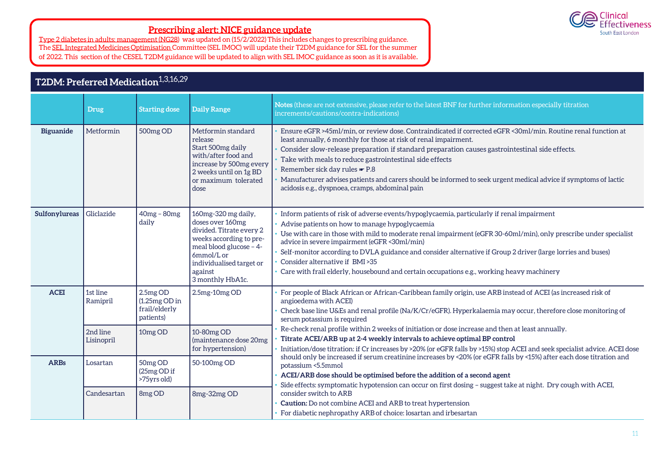

#### **[Prescribing alert: NICE guidance update](https://www.nice.org.uk/guidance/ng28)**

<span id="page-10-0"></span>[Type 2 diabetes in adults: management \(NG28\)](https://www.nice.org.uk/guidance/ng28) was updated on (15/2/2022) This includes changes to prescribing guidance. The [SEL Integrated Medicines Optimisation C](https://selondonccg.nhs.uk/what-we-do/medicines-optimisation/south-east-london-integrated-medicines-optimisation-committee-sel-imoc/)ommittee (SEL IMOC) will update their T2DM guidance for SEL for the summer of 2022. This section of the CESEL T2DM guidance will be updated to align with SEL IMOC guidance as soon as it is available.

## **T2DM: Preferred Medication**1,3,16,29

|                  | <b>Drug</b>                                    | <b>Starting dose</b>                                                  | <b>Daily Range</b>                                                                                                                                                                                 | Notes (these are not extensive, please refer to the latest BNF for further information especially titration<br>increments/cautions/contra-indications)                                                                                                                                                                                                                                                                                                                                                                                                                                                |
|------------------|------------------------------------------------|-----------------------------------------------------------------------|----------------------------------------------------------------------------------------------------------------------------------------------------------------------------------------------------|-------------------------------------------------------------------------------------------------------------------------------------------------------------------------------------------------------------------------------------------------------------------------------------------------------------------------------------------------------------------------------------------------------------------------------------------------------------------------------------------------------------------------------------------------------------------------------------------------------|
| <b>Biguanide</b> | Metformin                                      | 500mg OD                                                              | Metformin standard<br>release<br>Start 500mg daily<br>with/after food and<br>increase by 500mg every<br>2 weeks until on 1g BD<br>or maximum tolerated<br>dose                                     | Ensure eGFR >45ml/min, or review dose. Contraindicated if corrected eGFR <30ml/min. Routine renal function at<br>least annually, 6 monthly for those at risk of renal impairment.<br>Consider slow-release preparation if standard preparation causes gastrointestinal side effects.<br>Take with meals to reduce gastrointestinal side effects<br>Remember sick day rules <b>F</b> P.8<br>Manufacturer advises patients and carers should be informed to seek urgent medical advice if symptoms of lactic<br>acidosis e.g., dyspnoea, cramps, abdominal pain                                         |
| Sulfonylureas    | Gliclazide                                     | $40mg - 80mg$<br>daily                                                | 160mg-320 mg daily,<br>doses over 160mg<br>divided. Titrate every 2<br>weeks according to pre-<br>meal blood glucose - 4-<br>6mmol/L or<br>individualised target or<br>against<br>3 monthly HbA1c. | Inform patients of risk of adverse events/hypoglycaemia, particularly if renal impairment<br>Advise patients on how to manage hypoglycaemia<br>Use with care in those with mild to moderate renal impairment (eGFR 30-60ml/min), only prescribe under specialist<br>advice in severe impairment (eGFR <30ml/min)<br>Self-monitor according to DVLA guidance and consider alternative if Group 2 driver (large lorries and buses)<br>Consider alternative if BMI > 35<br>Care with frail elderly, housebound and certain occupations e.g., working heavy machinery                                     |
| <b>ACEI</b>      | 1st line<br>Ramipril<br>2nd line<br>Lisinopril | 2.5mg OD<br>$(1.25mg OD)$ in<br>frail/elderly<br>patients)<br>10mg OD | 2.5mg-10mg OD<br>10-80mg OD<br>(maintenance dose 20mg<br>for hypertension)                                                                                                                         | For people of Black African or African-Caribbean family origin, use ARB instead of ACEI (as increased risk of<br>angioedema with ACEI)<br>Check base line U&Es and renal profile (Na/K/Cr/eGFR). Hyperkalaemia may occur, therefore close monitoring of<br>serum potassium is required<br>Re-check renal profile within 2 weeks of initiation or dose increase and then at least annually.<br>Titrate ACEI/ARB up at 2-4 weekly intervals to achieve optimal BP control<br>Initiation/dose titration: if Cr increases by >20% (or eGFR falls by >15%) stop ACEI and seek specialist advice. ACEI dose |
| <b>ARBs</b>      | Losartan<br>Candesartan                        | 50mg OD<br>(25mgOD if<br>>75yrs old)<br>8mg OD                        | 50-100mg OD<br>8mg-32mg OD                                                                                                                                                                         | should only be increased if serum creatinine increases by <20% (or eGFR falls by <15%) after each dose titration and<br>potassium <5.5mmol<br>ACEI/ARB dose should be optimised before the addition of a second agent<br>Side effects: symptomatic hypotension can occur on first dosing – suggest take at night. Dry cough with ACEI,<br>consider switch to ARB<br>Caution: Do not combine ACEI and ARB to treat hypertension                                                                                                                                                                        |
|                  |                                                |                                                                       |                                                                                                                                                                                                    | For diabetic nephropathy ARB of choice: losartan and irbesartan                                                                                                                                                                                                                                                                                                                                                                                                                                                                                                                                       |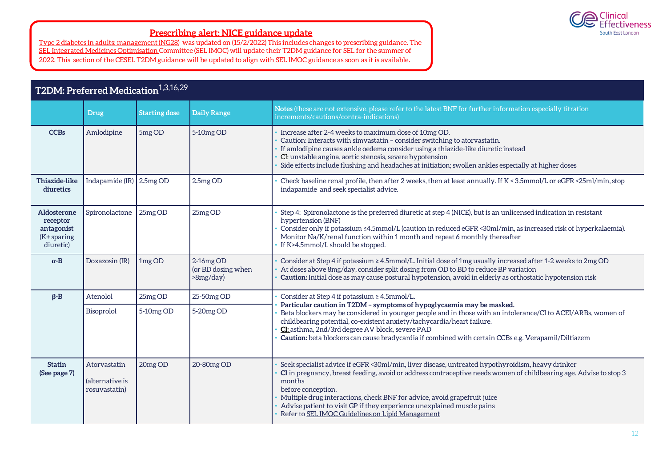

#### **[Prescribing alert: NICE guidance update](https://www.nice.org.uk/guidance/ng28)**

<span id="page-11-0"></span>[Type 2 diabetes in adults: management \(NG28](https://www.nice.org.uk/guidance/ng28)) was updated on (15/2/2022) This includes changes to prescribing guidance. The [SEL Integrated Medicines Optimisation](https://selondonccg.nhs.uk/what-we-do/medicines-optimisation/south-east-london-integrated-medicines-optimisation-committee-sel-imoc/) Committee (SEL IMOC) will update their T2DM guidance for SEL for the summer of 2022. This section of the CESEL T2DM guidance will be updated to align with SEL IMOC guidance as soon as it is available.

## **T2DM: Preferred Medication**1,3,16,29

|                                                                     | Drug.                                            | <b>Starting dose</b>           | <b>Daily Range</b>                               | Notes (these are not extensive, please refer to the latest BNF for further information especially titration<br>increments/cautions/contra-indications)                                                                                                                                                                                                                                                                                                          |  |
|---------------------------------------------------------------------|--------------------------------------------------|--------------------------------|--------------------------------------------------|-----------------------------------------------------------------------------------------------------------------------------------------------------------------------------------------------------------------------------------------------------------------------------------------------------------------------------------------------------------------------------------------------------------------------------------------------------------------|--|
| <b>CCBs</b>                                                         | Amlodipine                                       | 5 <sub>mg</sub> OD             | 5-10mg OD                                        | Increase after 2-4 weeks to maximum dose of 10mg OD.<br>Caution: Interacts with simvastatin - consider switching to atorvastatin.<br>If amlodipine causes ankle oedema consider using a thiazide-like diuretic instead<br>CI: unstable angina, aortic stenosis, severe hypotension<br>Side effects include flushing and headaches at initiation; swollen ankles especially at higher doses                                                                      |  |
| Thiazide-like<br>diuretics                                          | Indapamide (IR) $\sqrt{2.5}$ mg OD               |                                | 2.5mg OD                                         | Check baseline renal profile, then after 2 weeks, then at least annually. If K < 3.5mmol/L or eGFR <25ml/min, stop<br>indapamide and seek specialist advice.                                                                                                                                                                                                                                                                                                    |  |
| Aldosterone<br>receptor<br>antagonist<br>$(K+$ sparing<br>diuretic) | Spironolactone                                   | 25mg OD                        | 25mg OD                                          | Step 4: Spironolactone is the preferred diuretic at step 4 (NICE), but is an unlicensed indication in resistant<br>hypertension (BNF)<br>Consider only if potassium ≤4.5mmol/L (caution in reduced eGFR <30ml/min, as increased risk of hyperkalaemia).<br>Monitor Na/K/renal function within 1 month and repeat 6 monthly thereafter<br>If K>4.5mmol/L should be stopped.                                                                                      |  |
| $\alpha$ -B                                                         | Doxazosin (IR)                                   | 1 <sub>mg</sub> O <sub>D</sub> | $2-16mgOD$<br>(or BD dosing when<br>$>8mg/day$ ) | Consider at Step 4 if potassium ≥ 4.5mmol/L. Initial dose of 1mg usually increased after 1-2 weeks to 2mg OD<br>At doses above 8mg/day, consider split dosing from OD to BD to reduce BP variation<br>Caution: Initial dose as may cause postural hypotension, avoid in elderly as orthostatic hypotension risk                                                                                                                                                 |  |
| $\beta$ -B                                                          | Atenolol                                         | 25mg OD                        | 25-50mg OD                                       | Consider at Step 4 if potassium ≥ 4.5mmol/L.                                                                                                                                                                                                                                                                                                                                                                                                                    |  |
|                                                                     | Bisoprolol                                       | 5-10mg OD                      | 5-20mg OD                                        | Particular caution in T2DM - symptoms of hypoglycaemia may be masked.<br>Beta blockers may be considered in younger people and in those with an intolerance/CI to ACEI/ARBs, women of<br>childbearing potential, co-existent anxiety/tachycardia/heart failure.<br>CI: asthma, 2nd/3rd degree AV block, severe PAD<br>Caution: beta blockers can cause bradycardia if combined with certain CCBs e.g. Verapamil/Diltiazem                                       |  |
| <b>Statin</b><br>(See page 7)                                       | Atorvastatin<br>(alternative is<br>rosuvastatin) | 20mg OD                        | 20-80mg OD                                       | Seek specialist advice if eGFR <30ml/min, liver disease, untreated hypothyroidism, heavy drinker<br>CI in pregnancy, breast feeding, avoid or address contraceptive needs women of childbearing age. Advise to stop 3<br>months<br>before conception.<br>Multiple drug interactions, check BNF for advice, avoid grapefruit juice<br>Advise patient to visit GP if they experience unexplained muscle pains<br>Refer to SEL IMOC Guidelines on Lipid Management |  |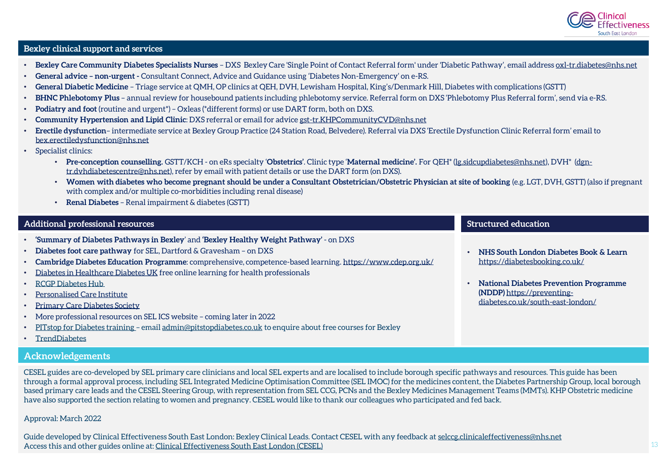

#### <span id="page-12-0"></span>**Bexley clinical support and services**

- **Bexley Care Community Diabetes Specialists Nurses**  DXS Bexley Care 'Single Point of Contact Referral form' under 'Diabetic Pathway', email address [oxl-tr.diabetes@nhs.net](mailto:oxl-tr.diabetes@nhs.net)
- **General advice – non-urgent -** Consultant Connect, Advice and Guidance using 'Diabetes Non-Emergency' on e-RS.
- **General Diabetic Medicine** Triage service at QMH, OP clinics at QEH, DVH, Lewisham Hospital, King's/Denmark Hill, Diabetes with complications (GSTT)
- **BHNC Phlebotomy Plus**  annual review for housebound patients including phlebotomy service. Referral form on DXS 'Phlebotomy Plus Referral form', send via e-RS.
- **Podiatry and foot** (routine and urgent\*) Oxleas (\*different forms) or use DART form, both on DXS.
- **Community Hypertension and Lipid Clinic**: DXS referral or email for advice [gst-tr.KHPCommunityCVD@nhs.net](mailto:gst-tr.KHPCommunityCVD@nhs.net)
- **Erectile dysfunction** intermediate service at Bexley Group Practice (24 Station Road, Belvedere). Referral via DXS 'Erectile Dysfunction Clinic Referral form' email to [bex.erectiledysfunction@nhs.net](mailto:bex.erectiledysfunction@nhs.net)
- Specialist clinics:
	- **Pre-conception counselling.** GSTT/KCH on eRs specialty '**Obstetrics'**. Clinic type '**Maternal medicine'.** For QEH\* [\(lg.sidcupdiabetes@nhs.net](mailto:lg.sidcupdiabetes@nhs.net)), DVH\* (dgn[tr.dvhdiabetescentre@nhs.net\), refer by email with patient details or use the DART form \(on DXS\).](mailto:dgn-tr.dvhdiabetescentre@nhs.net)
	- **Women with diabetes who become pregnant should be under a Consultant Obstetrician/Obstetric Physician at site of booking** (e.g. LGT, DVH, GSTT) (also if pregnant with complex and/or multiple co-morbidities including renal disease)
	- **Renal Diabetes** Renal impairment & diabetes (GSTT)

| Additional professional resources                                                                                                                                                                                                                                                                                                                                          | <b>Structured education</b>                                                                                      |  |  |
|----------------------------------------------------------------------------------------------------------------------------------------------------------------------------------------------------------------------------------------------------------------------------------------------------------------------------------------------------------------------------|------------------------------------------------------------------------------------------------------------------|--|--|
| . 'Summary of Diabetes Pathways in Bexley' and 'Bexley Healthy Weight Pathway' - on DXS<br><b>Diabetes foot care pathway</b> for SEL, Dartford $\&$ Gravesham – on DXS<br>• Cambridge Diabetes Education Programme: comprehensive, competence-based learning. https://www.cdep.org.uk/<br>Diabetes in Healthcare Diabetes UK free online learning for health professionals | NHS South London Diabetes Book & Learn<br>https://diabetesbooking.co.uk/                                         |  |  |
| RCGP Diabetes Hub<br>Personalised Care Institute<br>Primary Care Diabetes Society<br>• More professional resources on SEL ICS website - coming later in 2022<br>PITstop for Diabetes training - email admin@pitstopdiabetes.co.uk to enquire about free courses for Bexley<br>TrendDiabetes                                                                                | <b>National Diabetes Prevention Programme</b><br>(NDDP) https://preventing-<br>diabetes.co.uk/south-east-london/ |  |  |

#### **Acknowledgements**

CESEL guides are co-developed by SEL primary care clinicians and local SEL experts and are localised to include borough specific pathways and resources. This guide has been through a formal approval process, including SEL Integrated Medicine Optimisation Committee (SEL IMOC) for the medicines content, the Diabetes Partnership Group, local borough based primary care leads and the CESEL Steering Group, with representation from SEL CCG, PCNs and the Bexley Medicines Management Teams (MMTs). KHP Obstetric medicine have also supported the section relating to women and pregnancy. CESEL would like to thank our colleagues who participated and fed back.

#### Approval: March 2022

Guide developed by Clinical Effectiveness South East London: Bexley Clinical Leads. Contact CESEL with any feedback at [selccg.clinicaleffectiveness@nhs.net](mailto:selccg.clinicaleffectiveness@nhs.net) Access this and other guides online at: [Clinical Effectiveness South East](https://selondonccg.nhs.uk/covid_19/clinical-effectiveness-sel/) London (CESEL)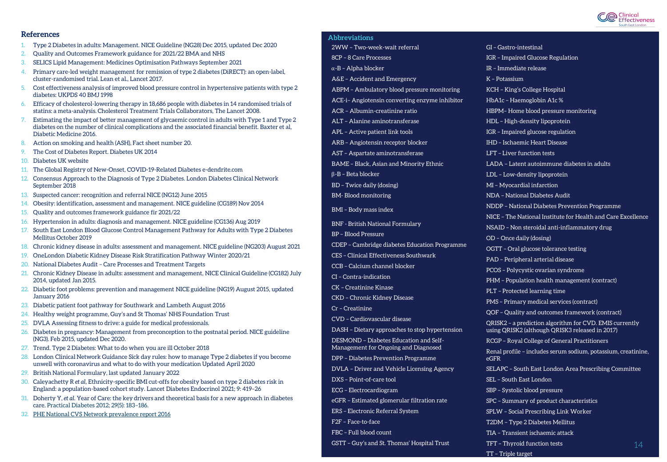

GI – Gastro-intestinal

IR – Immediate release K – Potassium

IGR – Impaired Glucose Regulation

HBPM– Home blood pressure monitoring

LADA – Latent autoimmune diabetes in adults

NDDP – National Diabetes Prevention Programme

NSAID – Non steroidal anti-inflammatory drug

PHM – Population health management (contract)

PMS – Primary medical services (contract) QOF – Quality and outcomes framework (contract) QRISK2 – a prediction algorithm for CVD. EMIS currently using QRISK2 (although QRISK3 released in 2017) RCGP – Royal College of General Practitioners

OGTT – Oral glucose tolerance testing PAD – Peripheral arterial disease PCOS – Polycystic ovarian syndrome

NICE – The National Institute for Health and Care Excellence

Renal profile – includes serum sodium, potassium, creatinine,

SELAPC – South East London Area Prescribing Committee

KCH – King's College Hospital HbA1c – Haemoglobin A1c %

HDL – High-density lipoprotein IGR – Impaired glucose regulation IHD – Ischaemic Heart Disease LFT – Liver function tests

LDL – Low-density lipoprotein MI – Myocardial infarction NDA – National Diabetes Audit

OD – Once daily (dosing)

PLT – Protected learning time

SEL – South East London SBP – Systolic blood pressure

TT – Triple target

T2DM – Type 2 Diabetes Mellitus TIA – Transient ischaemic attack TFT – Thyroid function tests

eGFR

- 1. Type 2 Diabetes in adults: Management. NICE Guideline (NG28) Dec 2015, updated Dec 2020
- 2. Quality and Outcomes Framework guidance for 2021/22 BMA and NHS
- 3. SELICS Lipid Management: Medicines Optimisation Pathways September 2021
- 4. Primary care-led weight management for remission of type 2 diabetes (DiRECT): an open-label, cluster-randomised trial. Lean et al., Lancet 2017.
- 5. Cost effectiveness analysis of improved blood pressure control in hypertensive patients with type 2 diabetes: UKPDS 40 BMJ 1998
- 6. Efficacy of cholesterol-lowering therapy in 18,686 people with diabetes in 14 randomised trials of statins: a meta-analysis. Cholesterol Treatment Trials Collaborators, The Lancet 2008.
- 7. Estimating the impact of better management of glycaemic control in adults with Type 1 and Type 2 diabetes on the number of clinical complications and the associated financial benefit. Baxter et al, Diabetic Medicine 2016.
- 8. Action on smoking and health (ASH), Fact sheet number 20.
- 9. The Cost of Diabetes Report. Diabetes UK 2014
- 10. Diabetes UK website
- 11. The Global Registry of New-Onset, COVID-19-Related Diabetes e-dendrite.com
- 12. Consensus Approach to the Diagnosis of Type 2 Diabetes. London Diabetes Clinical Network September 2018
- 13. Suspected cancer: recognition and referral NICE (NG12) June 2015
- 14. Obesity: identification, assessment and management. NICE guideline (CG189) Nov 2014
- 15. Quality and outcomes framework guidance fir 2021/22
- 16. Hypertension in adults: diagnosis and management. NICE guideline (CG136) Aug 2019
- 17. South East London Blood Glucose Control Management Pathway for Adults with Type 2 Diabetes Mellitus October 2019
- 18. Chronic kidney disease in adults: assessment and management. NICE guideline (NG203) August 2021
- 19. OneLondon Diabetic Kidney Disease Risk Stratification Pathway Winter 2020/21
- 20. National Diabetes Audit Care Processes and Treatment Targets
- 21. Chronic Kidney Disease in adults: assessment and management, NICE Clinical Guideline (CG182) July 2014, updated Jan 2015.
- 22. Diabetic foot problems: prevention and management NICE guideline (NG19) August 2015, updated January 2016
- 23. Diabetic patient foot pathway for Southwark and Lambeth August 2016
- 24. Healthy weight programme, Guy's and St Thomas' NHS Foundation Trust
- 25. DVLA Assessing fitness to drive: a guide for medical professionals.
- 26. Diabetes in pregnancy: Management from preconception to the postnatal period. NICE guideline (NG3). Feb 2015, updated Dec 2020.
- 27. Trend. Type 2 Diabetes: What to do when you are ill October 2018
- 28. London Clinical Network Guidance Sick day rules: how to manage Type 2 diabetes if you become unwell with coronavirus and what to do with your medication Updated April 2020
- 29. British National Formulary, last updated January 2022
- 30. Caleyachetty R *et al,* Ethnicity-specific BMI cut-offs for obesity based on type 2 diabetes risk in England: a population-based cohort study. Lancet Diabetes Endocrinol 2021; 9: 419–26
- 31. Doherty Y, *et al.* Year of Care: the key drivers and theoretical basis for a new approach in diabetes care. Practical Diabetes 2012; 29(5): 183–186.
- 32. [PHE National CVS Network prevalence report 2016](https://view.officeapps.live.com/op/view.aspx?src=https%3A%2F%2Fassets.publishing.service.gov.uk%2Fgovernment%2Fuploads%2Fsystem%2Fuploads%2Fattachment_data%2Ffile%2F611265%2FDiabetes_prevalence_estimates_for_CCGs_by_ONS_resident_populations.xlsx&wdOrigin=BROWSELINK)

### <span id="page-13-0"></span>**Abbreviations References**

- 2WW Two-week-wait referral
- 8CP 8 Care Processes
- α-B Alpha blocker
- A&E Accident and Emergency
- ABPM Ambulatory blood pressure monitoring
- ACE-i– Angiotensin converting enzyme inhibitor
- ACR Albumin-creatinine ratio
- ALT Alanine aminotransferase
- APL Active patient link tools
- ARB Angiotensin receptor blocker
- AST Aspartate aminotransferase
- BAME Black, Asian and Minority Ethnic
- β-B Beta blocker
- BD Twice daily (dosing)
- BM- Blood monitoring
- BMI Body mass index
- BNF British National Formulary
- BP Blood Pressure
- CDEP Cambridge diabetes Education Programme
- CES Clinical Effectiveness Southwark
- CCB Calcium channel blocker
- CI Contra-indication
- CK Creatinine Kinase
- CKD Chronic Kidney Disease
- Cr Creatinine
- CVD Cardiovascular disease
- DASH Dietary approaches to stop hypertension DESMOND – Diabetes Education and Self-Management for Ongoing and Diagnosed
- DPP Diabetes Prevention Programme
- DVLA Driver and Vehicle Licensing Agency
- DXS Point-of-care tool
- ECG Electrocardiogram
- eGFR Estimated glomerular filtration rate
- ERS Electronic Referral System
- F2F Face-to-face
- FBC Full blood count
- GSTT Guy's and St. Thomas' Hospital Trust
- SPC Summary of product characteristics SPLW – Social Prescribing Link Worker